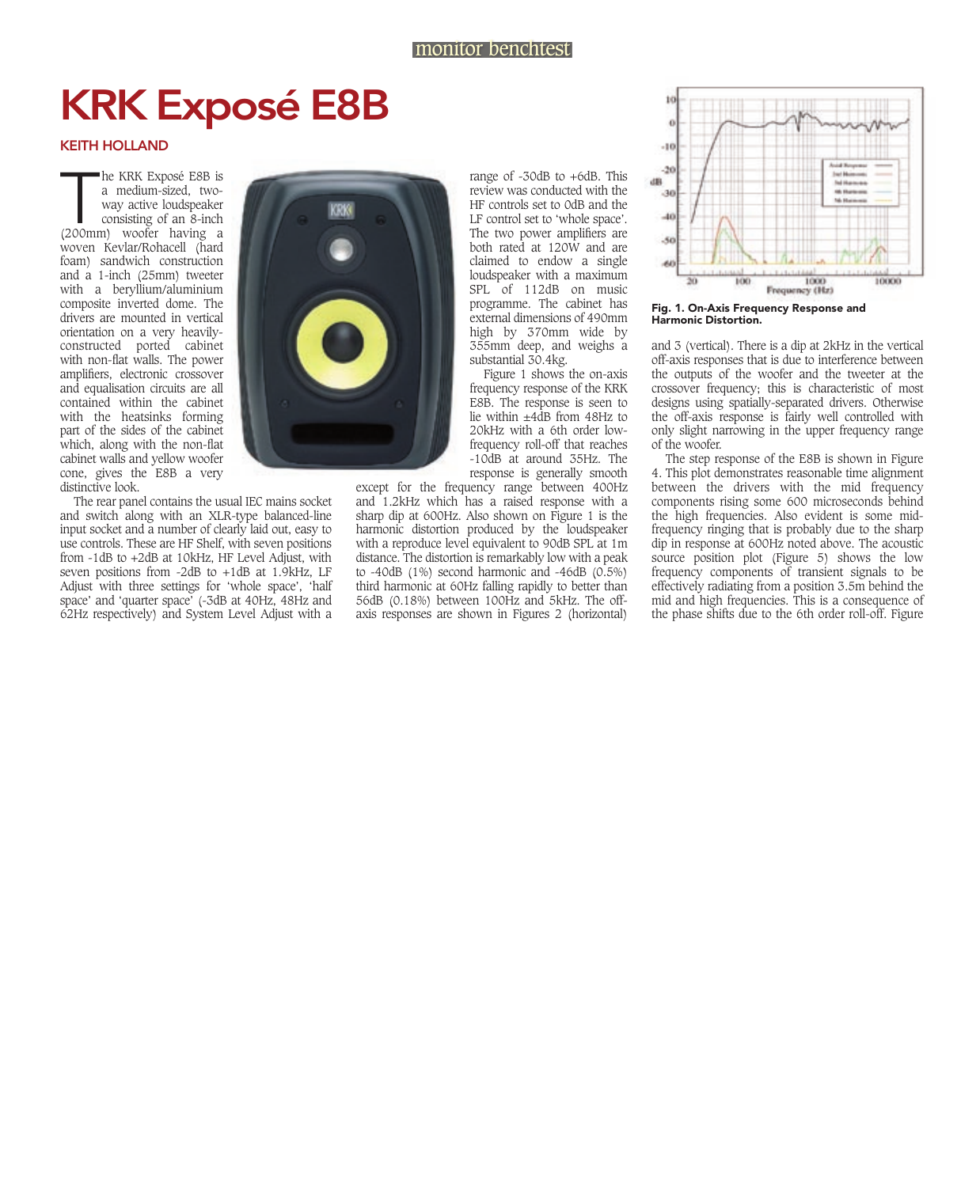## KRK Exposé E8B

## KEITH HOLLAND

he KRK Exposé E8B is<br>
a medium-sized, two-<br>
way active loudspeaker<br>
consisting of an 8-inch<br>
(200mm) woofer having a he KRK Exposé E8B is a medium-sized, twoway active loudspeaker consisting of an 8-inch woven Kevlar/Rohacell (hard foam) sandwich construction and a 1-inch (25mm) tweeter with a beryllium/aluminium composite inverted dome. The drivers are mounted in vertical orientation on a very heavilyconstructed ported cabinet with non-flat walls. The power amplifiers, electronic crossover and equalisation circuits are all contained within the cabinet with the heatsinks forming part of the sides of the cabinet which, along with the non-flat cabinet walls and yellow woofer cone, gives the E8B a very distinctive look.

The rear panel contains the usual IEC mains socket and switch along with an XLR-type balanced-line input socket and a number of clearly laid out, easy to use controls. These are HF Shelf, with seven positions from -1dB to +2dB at 10kHz, HF Level Adjust, with seven positions from -2dB to +1dB at 1.9kHz, LF Adjust with three settings for 'whole space', 'half space' and 'quarter space' (-3dB at 40Hz, 48Hz and 62Hz respectively) and System Level Adjust with a



range of -30dB to +6dB. This review was conducted with the HF controls set to 0dB and the LF control set to 'whole space'. The two power amplifiers are both rated at 120W and are claimed to endow a single loudspeaker with a maximum SPL of 112dB on music programme. The cabinet has external dimensions of 490mm high by 370mm wide by 355mm deep, and weighs a substantial 30.4kg.

Figure 1 shows the on-axis frequency response of the KRK E8B. The response is seen to lie within  $+4\overline{d}B$  from  $48\overline{Hz}$  to 20kHz with a 6th order lowfrequency roll-off that reaches -10dB at around 35Hz. The response is generally smooth

except for the frequency range between 400Hz and 1.2kHz which has a raised response with a sharp dip at 600Hz. Also shown on Figure 1 is the harmonic distortion produced by the loudspeaker with a reproduce level equivalent to 90dB SPL at 1m distance. The distortion is remarkably low with a peak to -40dB (1%) second harmonic and -46dB (0.5%) third harmonic at 60Hz falling rapidly to better than 56dB (0.18%) between 100Hz and 5kHz. The offaxis responses are shown in Figures 2 (horizontal)



Fig. 1. On-Axis Frequency Response and Harmonic Distortion.

and 3 (vertical). There is a dip at 2kHz in the vertical off-axis responses that is due to interference between the outputs of the woofer and the tweeter at the crossover frequency; this is characteristic of most designs using spatially-separated drivers. Otherwise the off-axis response is fairly well controlled with only slight narrowing in the upper frequency range of the woofer.

The step response of the E8B is shown in Figure 4. This plot demonstrates reasonable time alignment between the drivers with the mid frequency components rising some 600 microseconds behind the high frequencies. Also evident is some midfrequency ringing that is probably due to the sharp dip in response at 600Hz noted above. The acoustic source position plot (Figure 5) shows the low frequency components of transient signals to be effectively radiating from a position 3.5m behind the mid and high frequencies. This is a consequence of the phase shifts due to the 6th order roll-off. Figure